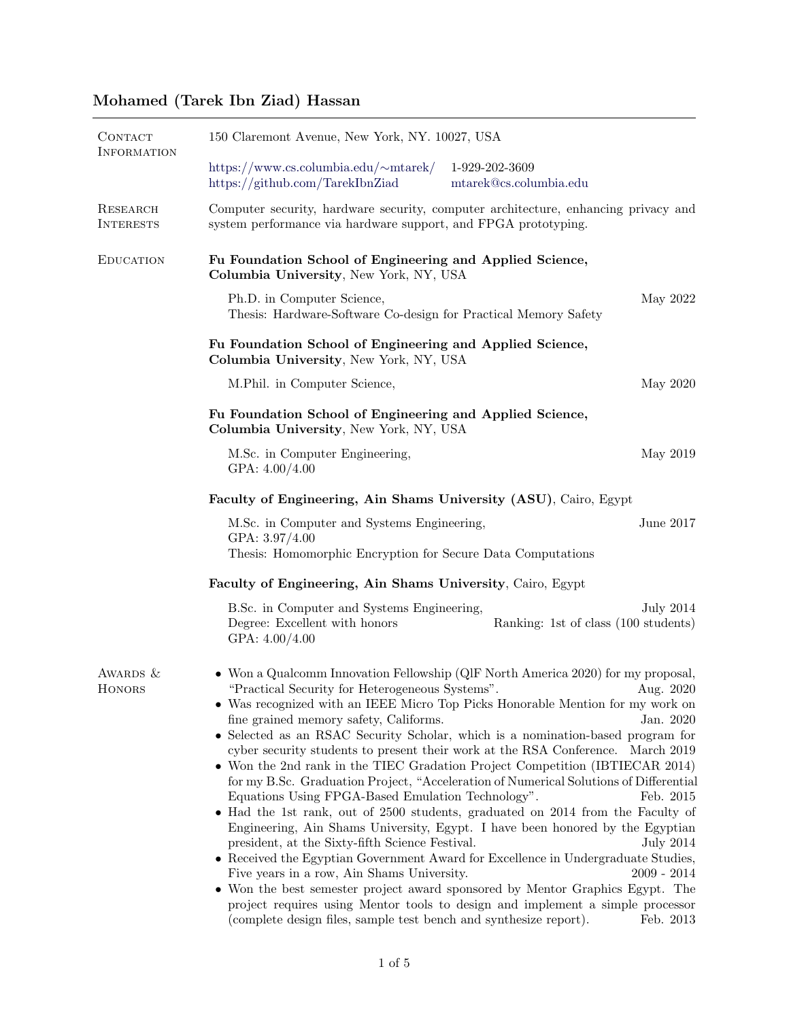# Mohamed (Tarek Ibn Ziad) Hassan

| CONTACT<br><b>INFORMATION</b> | 150 Claremont Avenue, New York, NY. 10027, USA                                                                                                                                                                                                                                                                                                                                                                                                                                                                                                                                                                                                                                                                                                                                                                                                                                                                                                                                                                                                                                                                                                                                                                                                                                                                                                                           |  |  |  |  |  |
|-------------------------------|--------------------------------------------------------------------------------------------------------------------------------------------------------------------------------------------------------------------------------------------------------------------------------------------------------------------------------------------------------------------------------------------------------------------------------------------------------------------------------------------------------------------------------------------------------------------------------------------------------------------------------------------------------------------------------------------------------------------------------------------------------------------------------------------------------------------------------------------------------------------------------------------------------------------------------------------------------------------------------------------------------------------------------------------------------------------------------------------------------------------------------------------------------------------------------------------------------------------------------------------------------------------------------------------------------------------------------------------------------------------------|--|--|--|--|--|
|                               | https://www.cs.columbia.edu/ $\sim$ mtarek/<br>1-929-202-3609<br>https://github.com/TarekIbnZiad<br>mtarek@cs.columbia.edu                                                                                                                                                                                                                                                                                                                                                                                                                                                                                                                                                                                                                                                                                                                                                                                                                                                                                                                                                                                                                                                                                                                                                                                                                                               |  |  |  |  |  |
| RESEARCH<br><b>INTERESTS</b>  | Computer security, hardware security, computer architecture, enhancing privacy and<br>system performance via hardware support, and FPGA prototyping.                                                                                                                                                                                                                                                                                                                                                                                                                                                                                                                                                                                                                                                                                                                                                                                                                                                                                                                                                                                                                                                                                                                                                                                                                     |  |  |  |  |  |
| <b>EDUCATION</b>              | Fu Foundation School of Engineering and Applied Science,<br>Columbia University, New York, NY, USA                                                                                                                                                                                                                                                                                                                                                                                                                                                                                                                                                                                                                                                                                                                                                                                                                                                                                                                                                                                                                                                                                                                                                                                                                                                                       |  |  |  |  |  |
|                               | Ph.D. in Computer Science,<br>May 2022<br>Thesis: Hardware-Software Co-design for Practical Memory Safety                                                                                                                                                                                                                                                                                                                                                                                                                                                                                                                                                                                                                                                                                                                                                                                                                                                                                                                                                                                                                                                                                                                                                                                                                                                                |  |  |  |  |  |
|                               | Fu Foundation School of Engineering and Applied Science,<br>Columbia University, New York, NY, USA                                                                                                                                                                                                                                                                                                                                                                                                                                                                                                                                                                                                                                                                                                                                                                                                                                                                                                                                                                                                                                                                                                                                                                                                                                                                       |  |  |  |  |  |
|                               | M.Phil. in Computer Science,<br>May 2020                                                                                                                                                                                                                                                                                                                                                                                                                                                                                                                                                                                                                                                                                                                                                                                                                                                                                                                                                                                                                                                                                                                                                                                                                                                                                                                                 |  |  |  |  |  |
|                               | Fu Foundation School of Engineering and Applied Science,<br>Columbia University, New York, NY, USA                                                                                                                                                                                                                                                                                                                                                                                                                                                                                                                                                                                                                                                                                                                                                                                                                                                                                                                                                                                                                                                                                                                                                                                                                                                                       |  |  |  |  |  |
|                               | May 2019<br>M.Sc. in Computer Engineering,<br>GPA: $4.00/4.00$                                                                                                                                                                                                                                                                                                                                                                                                                                                                                                                                                                                                                                                                                                                                                                                                                                                                                                                                                                                                                                                                                                                                                                                                                                                                                                           |  |  |  |  |  |
|                               | Faculty of Engineering, Ain Shams University (ASU), Cairo, Egypt                                                                                                                                                                                                                                                                                                                                                                                                                                                                                                                                                                                                                                                                                                                                                                                                                                                                                                                                                                                                                                                                                                                                                                                                                                                                                                         |  |  |  |  |  |
|                               | June 2017<br>M.Sc. in Computer and Systems Engineering,<br>GPA: 3.97/4.00<br>Thesis: Homomorphic Encryption for Secure Data Computations                                                                                                                                                                                                                                                                                                                                                                                                                                                                                                                                                                                                                                                                                                                                                                                                                                                                                                                                                                                                                                                                                                                                                                                                                                 |  |  |  |  |  |
|                               | Faculty of Engineering, Ain Shams University, Cairo, Egypt                                                                                                                                                                                                                                                                                                                                                                                                                                                                                                                                                                                                                                                                                                                                                                                                                                                                                                                                                                                                                                                                                                                                                                                                                                                                                                               |  |  |  |  |  |
|                               | B.Sc. in Computer and Systems Engineering,<br>July 2014<br>Degree: Excellent with honors<br>Ranking: 1st of class (100 students)<br>GPA: $4.00/4.00$                                                                                                                                                                                                                                                                                                                                                                                                                                                                                                                                                                                                                                                                                                                                                                                                                                                                                                                                                                                                                                                                                                                                                                                                                     |  |  |  |  |  |
| AWARDS &<br><b>HONORS</b>     | • Won a Qualcomm Innovation Fellowship (QIF North America 2020) for my proposal,<br>"Practical Security for Heterogeneous Systems".<br>Aug. 2020<br>$\bullet\,$ Was recognized with an IEEE Micro Top Picks Honorable Mention for my work on<br>fine grained memory safety, Califorms.<br>Jan. 2020<br>• Selected as an RSAC Security Scholar, which is a nomination-based program for<br>cyber security students to present their work at the RSA Conference. March 2019<br>• Won the 2nd rank in the TIEC Gradation Project Competition (IBTIECAR 2014)<br>for my B.Sc. Graduation Project, "Acceleration of Numerical Solutions of Differential<br>Equations Using FPGA-Based Emulation Technology".<br>Feb. 2015<br>• Had the 1st rank, out of 2500 students, graduated on 2014 from the Faculty of<br>Engineering, Ain Shams University, Egypt. I have been honored by the Egyptian<br>president, at the Sixty-fifth Science Festival.<br><b>July 2014</b><br>• Received the Egyptian Government Award for Excellence in Undergraduate Studies,<br>Five years in a row, Ain Shams University.<br>$2009 - 2014$<br>• Won the best semester project award sponsored by Mentor Graphics Egypt. The<br>project requires using Mentor tools to design and implement a simple processor<br>(complete design files, sample test bench and synthesize report).<br>Feb. 2013 |  |  |  |  |  |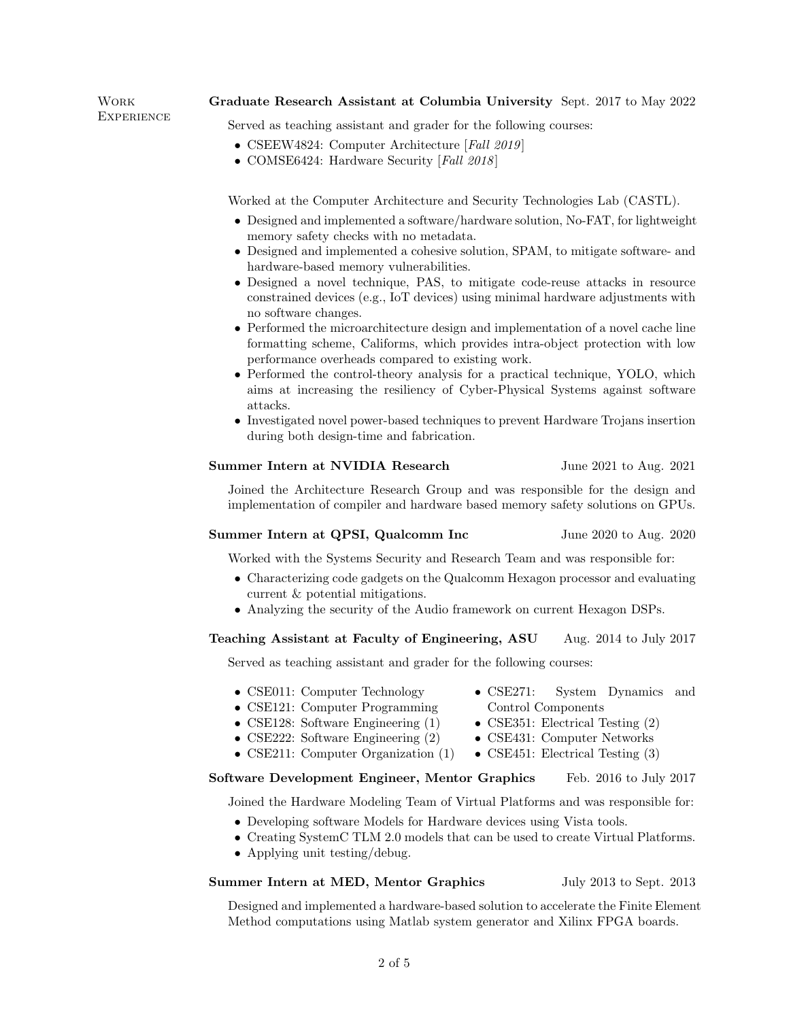| Graduate Research Assistant at Columbia University Sept. 2017 to May 2022 |  |  |  |  |  |  |
|---------------------------------------------------------------------------|--|--|--|--|--|--|
|---------------------------------------------------------------------------|--|--|--|--|--|--|

Work **EXPERIENCE** 

Served as teaching assistant and grader for the following courses:

- CSEEW4824: Computer Architecture [Fall 2019]
- COMSE6424: Hardware Security [Fall 2018]

Worked at the Computer Architecture and Security Technologies Lab (CASTL).

- Designed and implemented a software/hardware solution, No-FAT, for lightweight memory safety checks with no metadata.
- Designed and implemented a cohesive solution, SPAM, to mitigate software- and hardware-based memory vulnerabilities.
- Designed a novel technique, PAS, to mitigate code-reuse attacks in resource constrained devices (e.g., IoT devices) using minimal hardware adjustments with no software changes.
- Performed the microarchitecture design and implementation of a novel cache line formatting scheme, Califorms, which provides intra-object protection with low performance overheads compared to existing work.
- Performed the control-theory analysis for a practical technique, YOLO, which aims at increasing the resiliency of Cyber-Physical Systems against software attacks.
- Investigated novel power-based techniques to prevent Hardware Trojans insertion during both design-time and fabrication.

## Summer Intern at NVIDIA Research June 2021 to Aug. 2021

Joined the Architecture Research Group and was responsible for the design and implementation of compiler and hardware based memory safety solutions on GPUs.

## Summer Intern at QPSI, Qualcomm Inc June 2020 to Aug. 2020

• CSE271: System Dynamics and

• CSE351: Electrical Testing (2)

Control Components

Worked with the Systems Security and Research Team and was responsible for:

- Characterizing code gadgets on the Qualcomm Hexagon processor and evaluating current & potential mitigations.
- Analyzing the security of the Audio framework on current Hexagon DSPs.

## Teaching Assistant at Faculty of Engineering, ASU Aug. 2014 to July 2017

Served as teaching assistant and grader for the following courses:

- CSE011: Computer Technology
- CSE121: Computer Programming
- CSE128: Software Engineering (1)
- CSE222: Software Engineering  $(2)$
- CSE211: Computer Organization (1) • CSE431: Computer Networks • CSE451: Electrical Testing (3)

## Software Development Engineer, Mentor Graphics Feb. 2016 to July 2017

Joined the Hardware Modeling Team of Virtual Platforms and was responsible for:

- Developing software Models for Hardware devices using Vista tools.
- Creating SystemC TLM 2.0 models that can be used to create Virtual Platforms.
- Applying unit testing/debug.

## Summer Intern at MED, Mentor Graphics July 2013 to Sept. 2013

Designed and implemented a hardware-based solution to accelerate the Finite Element Method computations using Matlab system generator and Xilinx FPGA boards.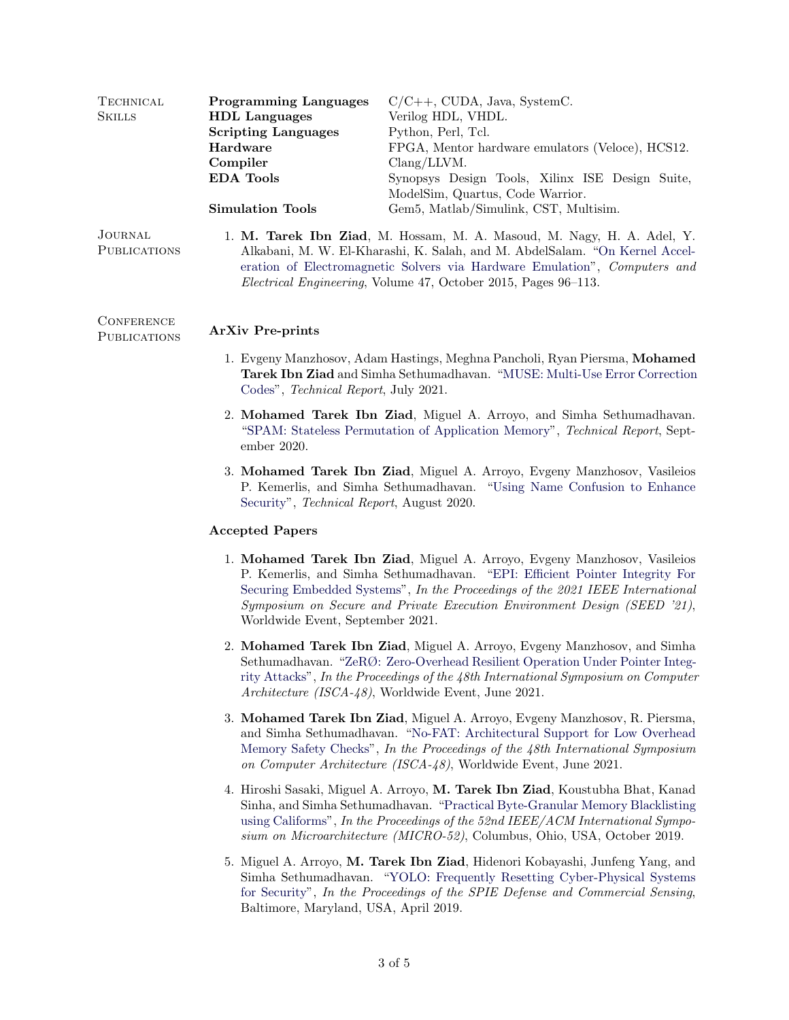| TECHNICAL<br><b>SKILLS</b>     | <b>Programming Languages</b><br><b>HDL</b> Languages<br><b>Scripting Languages</b><br>Hardware<br>Compiler<br><b>EDA</b> Tools                                                                                                                                                                       | $C/C++$ , CUDA, Java, SystemC.<br>Verilog HDL, VHDL.<br>Python, Perl, Tcl.<br>FPGA, Mentor hardware emulators (Veloce), HCS12.<br>Clang/LLVM.<br>Synopsys Design Tools, Xilinx ISE Design Suite,<br>ModelSim, Quartus, Code Warrior.                                                                                        |  |  |  |  |
|--------------------------------|------------------------------------------------------------------------------------------------------------------------------------------------------------------------------------------------------------------------------------------------------------------------------------------------------|-----------------------------------------------------------------------------------------------------------------------------------------------------------------------------------------------------------------------------------------------------------------------------------------------------------------------------|--|--|--|--|
|                                | <b>Simulation Tools</b>                                                                                                                                                                                                                                                                              | Gem5, Matlab/Simulink, CST, Multisim.                                                                                                                                                                                                                                                                                       |  |  |  |  |
| JOURNAL<br><b>PUBLICATIONS</b> | 1. M. Tarek Ibn Ziad, M. Hossam, M. A. Masoud, M. Nagy, H. A. Adel, Y.<br>Alkabani, M. W. El-Kharashi, K. Salah, and M. AbdelSalam. "On Kernel Accel-<br>eration of Electromagnetic Solvers via Hardware Emulation", Computers and<br>Electrical Engineering, Volume 47, October 2015, Pages 96-113. |                                                                                                                                                                                                                                                                                                                             |  |  |  |  |
| CONFERENCE<br>PUBLICATIONS     | <b>ArXiv Pre-prints</b>                                                                                                                                                                                                                                                                              |                                                                                                                                                                                                                                                                                                                             |  |  |  |  |
|                                | 1. Evgeny Manzhosov, Adam Hastings, Meghna Pancholi, Ryan Piersma, Mohamed<br><b>Tarek Ibn Ziad</b> and Simha Sethumadhavan. "MUSE: Multi-Use Error Correction<br>Codes", <i>Technical Report</i> , July 2021.                                                                                       |                                                                                                                                                                                                                                                                                                                             |  |  |  |  |
|                                | ember 2020.                                                                                                                                                                                                                                                                                          | 2. Mohamed Tarek Ibn Ziad, Miguel A. Arroyo, and Simha Sethumadhavan.<br>"SPAM: Stateless Permutation of Application Memory", Technical Report, Sept-                                                                                                                                                                       |  |  |  |  |
|                                | Security", <i>Technical Report</i> , August 2020.                                                                                                                                                                                                                                                    | 3. Mohamed Tarek Ibn Ziad, Miguel A. Arroyo, Evgeny Manzhosov, Vasileios<br>P. Kemerlis, and Simha Sethumadhavan. "Using Name Confusion to Enhance                                                                                                                                                                          |  |  |  |  |
|                                | <b>Accepted Papers</b>                                                                                                                                                                                                                                                                               |                                                                                                                                                                                                                                                                                                                             |  |  |  |  |
|                                | Worldwide Event, September 2021.                                                                                                                                                                                                                                                                     | 1. Mohamed Tarek Ibn Ziad, Miguel A. Arroyo, Evgeny Manzhosov, Vasileios<br>P. Kemerlis, and Simha Sethumadhavan. "EPI: Efficient Pointer Integrity For<br>Securing Embedded Systems", In the Proceedings of the 2021 IEEE International<br>Symposium on Secure and Private Execution Environment Design (SEED '21),        |  |  |  |  |
|                                |                                                                                                                                                                                                                                                                                                      | 2. Mohamed Tarek Ibn Ziad, Miguel A. Arroyo, Evgeny Manzhosov, and Simha<br>Sethumadhavan. "ZeRØ: Zero-Overhead Resilient Operation Under Pointer Integ-<br>rity Attacks", In the Proceedings of the 48th International Symposium on Computer<br>Architecture (ISCA-48), Worldwide Event, June 2021.                        |  |  |  |  |
|                                |                                                                                                                                                                                                                                                                                                      | 3. Mohamed Tarek Ibn Ziad, Miguel A. Arroyo, Evgeny Manzhosov, R. Piersma,<br>and Simha Sethumadhavan. "No-FAT: Architectural Support for Low Overhead<br>Memory Safety Checks", In the Proceedings of the 48th International Symposium<br>on Computer Architecture (ISCA-48), Worldwide Event, June 2021.                  |  |  |  |  |
|                                |                                                                                                                                                                                                                                                                                                      | 4. Hiroshi Sasaki, Miguel A. Arroyo, M. Tarek Ibn Ziad, Koustubha Bhat, Kanad<br>Sinha, and Simha Sethumadhavan. "Practical Byte-Granular Memory Blacklisting<br>using Califorms", In the Proceedings of the 52nd IEEE/ACM International Sympo-<br>sium on Microarchitecture (MICRO-52), Columbus, Ohio, USA, October 2019. |  |  |  |  |
|                                |                                                                                                                                                                                                                                                                                                      | 5. Miguel A. Arroyo, M. Tarek Ibn Ziad, Hidenori Kobayashi, Junfeng Yang, and<br>Simha Sethumadhavan. "YOLO: Frequently Resetting Cyber-Physical Systems<br>for Security", In the Proceedings of the SPIE Defense and Commercial Sensing,                                                                                   |  |  |  |  |

Baltimore, Maryland, USA, April 2019.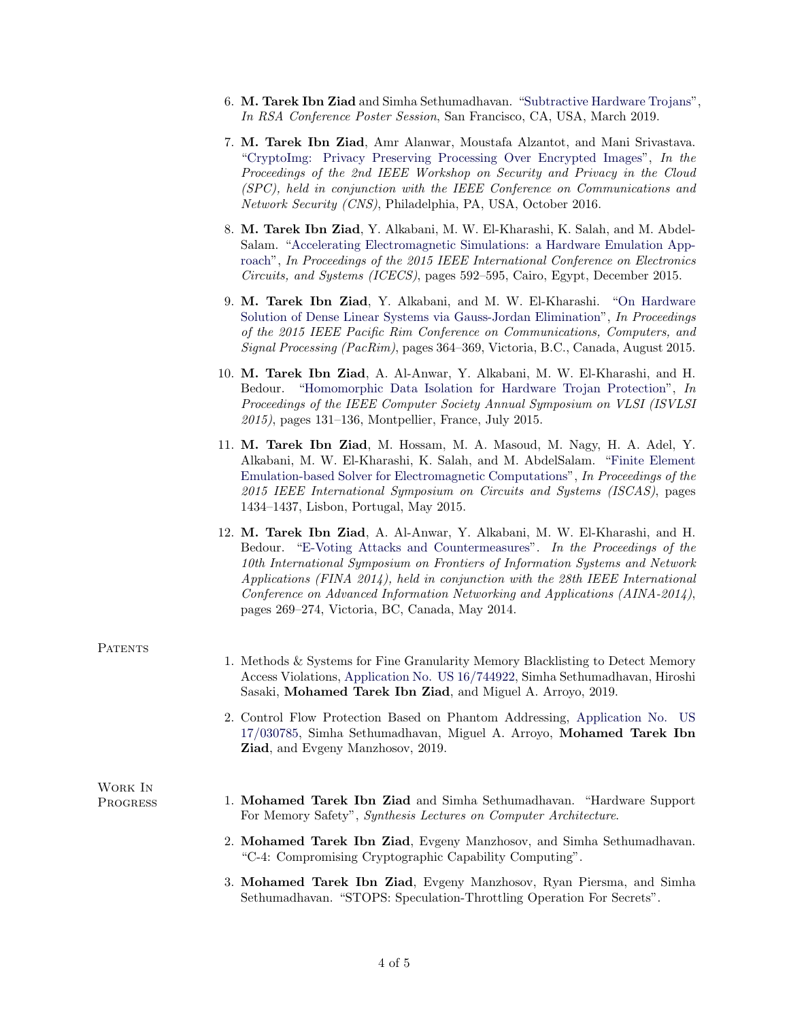- 6. M. Tarek Ibn Ziad and Simha Sethumadhavan. ["Subtractive Hardware Trojans"](https://www.cs.columbia.edu/~mtarek/files/preprint_RSA19_SubTrojans.pdf), In RSA Conference Poster Session, San Francisco, CA, USA, March 2019.
- 7. M. Tarek Ibn Ziad, Amr Alanwar, Moustafa Alzantot, and Mani Srivastava. ["CryptoImg: Privacy Preserving Processing Over Encrypted Images"](http://ieeexplore.ieee.org/document/7860550/), In the Proceedings of the 2nd IEEE Workshop on Security and Privacy in the Cloud (SPC), held in conjunction with the IEEE Conference on Communications and Network Security (CNS), Philadelphia, PA, USA, October 2016.
- 8. M. Tarek Ibn Ziad, Y. Alkabani, M. W. El-Kharashi, K. Salah, and M. Abdel-Salam. ["Accelerating Electromagnetic Simulations: a Hardware Emulation App](http://ieeexplore.ieee.org/document/7440386/?arnumber=7440386)[roach"](http://ieeexplore.ieee.org/document/7440386/?arnumber=7440386), In Proceedings of the 2015 IEEE International Conference on Electronics Circuits, and Systems (ICECS), pages 592–595, Cairo, Egypt, December 2015.
- 9. M. Tarek Ibn Ziad, Y. Alkabani, and M. W. El-Kharashi. ["On Hardware](http://ieeexplore.ieee.org/document/7334863/?arnumber=7334863) [Solution of Dense Linear Systems via Gauss-Jordan Elimination"](http://ieeexplore.ieee.org/document/7334863/?arnumber=7334863), In Proceedings of the 2015 IEEE Pacific Rim Conference on Communications, Computers, and Signal Processing (PacRim), pages 364–369, Victoria, B.C., Canada, August 2015.
- 10. M. Tarek Ibn Ziad, A. Al-Anwar, Y. Alkabani, M. W. El-Kharashi, and H. Bedour. ["Homomorphic Data Isolation for Hardware Trojan Protection"](http://ieeexplore.ieee.org/document/7309551/?arnumber=7309551), In Proceedings of the IEEE Computer Society Annual Symposium on VLSI (ISVLSI 2015), pages 131–136, Montpellier, France, July 2015.
- 11. M. Tarek Ibn Ziad, M. Hossam, M. A. Masoud, M. Nagy, H. A. Adel, Y. Alkabani, M. W. El-Kharashi, K. Salah, and M. AbdelSalam. ["Finite Element](http://ieeexplore.ieee.org/document/7168913/) [Emulation-based Solver for Electromagnetic Computations"](http://ieeexplore.ieee.org/document/7168913/), In Proceedings of the 2015 IEEE International Symposium on Circuits and Systems (ISCAS), pages 1434–1437, Lisbon, Portugal, May 2015.
- 12. M. Tarek Ibn Ziad, A. Al-Anwar, Y. Alkabani, M. W. El-Kharashi, and H. Bedour. ["E-Voting Attacks and Countermeasures"](http://ieeexplore.ieee.org/document/6844649/). In the Proceedings of the 10th International Symposium on Frontiers of Information Systems and Network Applications (FINA 2014), held in conjunction with the 28th IEEE International Conference on Advanced Information Networking and Applications (AINA-2014), pages 269–274, Victoria, BC, Canada, May 2014.

## PATENTS

Work In

- 1. Methods & Systems for Fine Granularity Memory Blacklisting to Detect Memory Access Violations, [Application No. US 16/744922,](https://www.freepatentsonline.com/20200233591.pdf) Simha Sethumadhavan, Hiroshi Sasaki, Mohamed Tarek Ibn Ziad, and Miguel A. Arroyo, 2019.
- 2. Control Flow Protection Based on Phantom Addressing, [Application No. US](https://www.freepatentsonline.com/20220019657.pdf) [17/030785,](https://www.freepatentsonline.com/20220019657.pdf) Simha Sethumadhavan, Miguel A. Arroyo, Mohamed Tarek Ibn Ziad, and Evgeny Manzhosov, 2019.

## Progress 1. Mohamed Tarek Ibn Ziad and Simha Sethumadhavan. "Hardware Support For Memory Safety", Synthesis Lectures on Computer Architecture.

- 2. Mohamed Tarek Ibn Ziad, Evgeny Manzhosov, and Simha Sethumadhavan. "C-4: Compromising Cryptographic Capability Computing".
- 3. Mohamed Tarek Ibn Ziad, Evgeny Manzhosov, Ryan Piersma, and Simha Sethumadhavan. "STOPS: Speculation-Throttling Operation For Secrets".